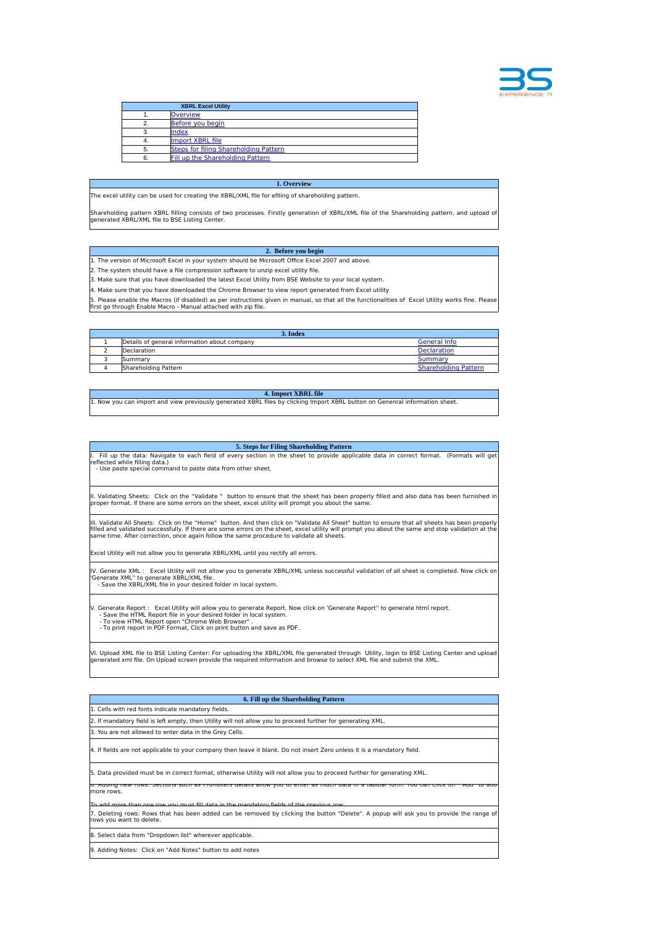

|    | <b>XBRL Excel Utility</b>             |
|----|---------------------------------------|
|    | <b>Overview</b>                       |
|    | Before you begin                      |
|    | lindex                                |
|    | Import XBRL file                      |
| 5. | Steps for filing Shareholding Pattern |
| 6. | Fill up the Shareholding Pattern      |

## **1. Overview**

<span id="page-0-0"></span>The excel utility can be used for creating the XBRL/XML file for efiling of shareholding pattern.

Shareholding pattern XBRL filling consists of two processes. Firstly generation of XBRL/XML file of the Shareholding pattern, and upload of generated XBRL/XML file to BSE Listing Center.

<span id="page-0-1"></span> **2. Before you begin** 1. The version of Microsoft Excel in your system should be Microsoft Office Excel 2007 and above.

2. The system should have a file compression software to unzip excel utility file.

3. Make sure that you have downloaded the latest Excel Utility from BSE Website to your local system.

 $\big\vert$ 4. Make sure that you have downloaded the Chrome Browser to view report generated from Excel utility

5. Please enable the Macros (if disabled) as per instructions given in manual, so that all the functionalities of Excel Utility works fine. Please first go through Enable Macro - Manual attached with zip file.

<span id="page-0-2"></span>

| 3. Index                                     |                             |
|----------------------------------------------|-----------------------------|
| Details of general information about company | General Info                |
| Declaration                                  | <b>Declaration</b>          |
| Summary                                      | Summary                     |
| Shareholding Pattern                         | <b>Shareholding Pattern</b> |

## <span id="page-0-3"></span>**4. Import XBRL file** 1. Now you can import and view previously generated XBRL files by clicking Import XBRL button on Genenral information sheet.

## **5. Steps for Filing Shareholding Pattern**

<span id="page-0-4"></span>Fill up the data: Navigate to each field of every section in the sheet to provide applicable data in correct format. (Formats will get reflected while filling data.) - Use paste special command to paste data from other sheet.

II. Validating Sheets: Click on the "Validate " button to ensure that the sheet has been properly filled and also data has been furnished in<br>proper format. If there are some errors on the sheet, excel utility will prompt y

III. Validate All Sheets: Click on the ''Home" button. And then click on "Validate All Sheet" button to ensure that all sheets has been properly filled and validated successfully. If there are some errors on the sheet, excel utility will prompt you about the same and stop validation at the<br>same time. After correction, once again follow the same procedure to validat

Excel Utility will not allow you to generate XBRL/XML until you rectify all errors.

IV. Generate XML : Excel Utility will not allow you to generate XBRL/XML unless successful validation of all sheet is completed. Now click on<br>'Generate XML'' to generate XBRL/XML file.<br>' - Save the XBRL/XML file in your de

V. Generate Report : Excel Utility will allow you to generate Report. Now click on 'Generate Report'' to generate html report.<br>- Save the HTML Report file in your desired folder in local system.<br>- To view HTML Report open

VI. Upload XML file to BSE Listing Center: For uploading the XBRL/XML file generated through Utility, login to BSE Listing Center and upload<br>generated xml file. On Upload screen provide the required information and browse

<span id="page-0-5"></span>

| 6. Fill up the Shareholding Pattern                                                                                                                                 |
|---------------------------------------------------------------------------------------------------------------------------------------------------------------------|
| 1. Cells with red fonts indicate mandatory fields.                                                                                                                  |
| 2. If mandatory field is left empty, then Utility will not allow you to proceed further for generating XML.                                                         |
| 3. You are not allowed to enter data in the Grey Cells.                                                                                                             |
| 4. If fields are not applicable to your company then leave it blank. Do not insert Zero unless it is a mandatory field.                                             |
| 5. Data provided must be in correct format, otherwise Utility will not allow you to proceed further for generating XML.                                             |
| o. Adding new rows: Sections such as Promoters details allow you to enter as much data in a<br>more rows.                                                           |
| To add more than one row you must fill data in the mandatory fields of the previous row                                                                             |
| 7. Deleting rows: Rows that has been added can be removed by clicking the button "Delete". A popup will ask you to provide the range of<br>rows you want to delete. |
| 8. Select data from "Dropdown list" wherever applicable.                                                                                                            |
| 9. Adding Notes: Click on "Add Notes" button to add notes                                                                                                           |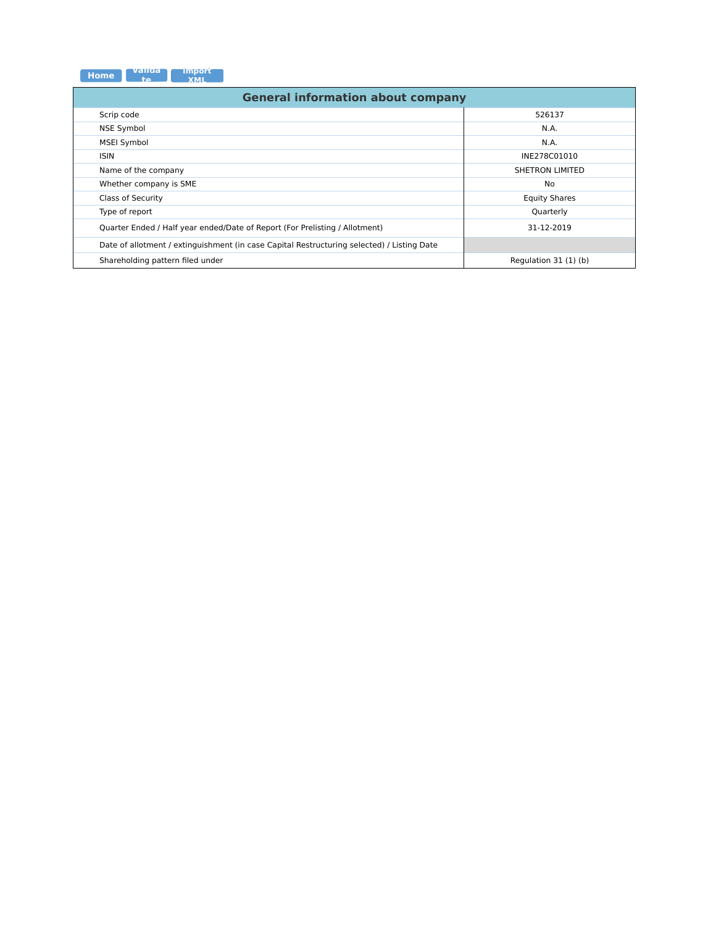| <b>Home</b> | -valida. | <b>Import</b> |
|-------------|----------|---------------|
|             |          | <b>YMI</b>    |

<span id="page-1-0"></span>

| <b>General information about company</b>                                                   |                        |  |  |  |  |  |  |  |  |  |
|--------------------------------------------------------------------------------------------|------------------------|--|--|--|--|--|--|--|--|--|
| Scrip code                                                                                 | 526137                 |  |  |  |  |  |  |  |  |  |
| <b>NSE Symbol</b>                                                                          | N.A.                   |  |  |  |  |  |  |  |  |  |
| <b>MSEI Symbol</b>                                                                         | N.A.                   |  |  |  |  |  |  |  |  |  |
| <b>ISIN</b>                                                                                | INE278C01010           |  |  |  |  |  |  |  |  |  |
| Name of the company                                                                        | <b>SHETRON LIMITED</b> |  |  |  |  |  |  |  |  |  |
| Whether company is SME                                                                     | No                     |  |  |  |  |  |  |  |  |  |
| Class of Security                                                                          | <b>Equity Shares</b>   |  |  |  |  |  |  |  |  |  |
| Type of report                                                                             | Quarterly              |  |  |  |  |  |  |  |  |  |
| Quarter Ended / Half year ended/Date of Report (For Prelisting / Allotment)                | 31-12-2019             |  |  |  |  |  |  |  |  |  |
| Date of allotment / extinguishment (in case Capital Restructuring selected) / Listing Date |                        |  |  |  |  |  |  |  |  |  |
| Shareholding pattern filed under                                                           | Regulation 31 (1) (b)  |  |  |  |  |  |  |  |  |  |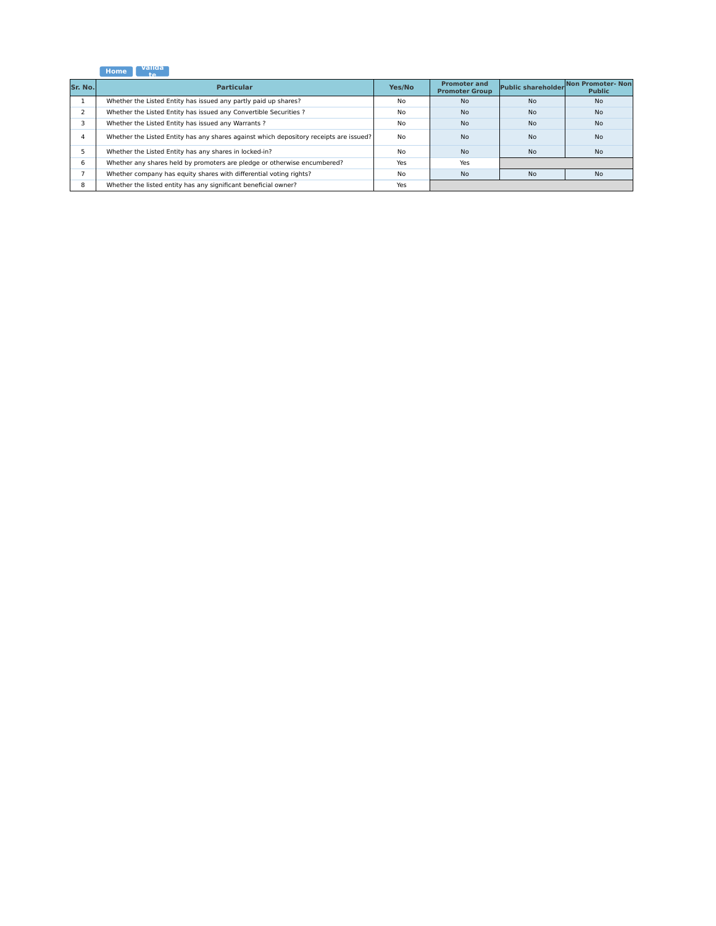## **Home Valida te**

<span id="page-2-0"></span>

| Sr. No.       | <b>Particular</b>                                                                      | Yes/No    | <b>Promoter and</b><br><b>Promoter Group</b> | <b>Public shareholder</b> | Non Promoter-Non<br><b>Public</b> |
|---------------|----------------------------------------------------------------------------------------|-----------|----------------------------------------------|---------------------------|-----------------------------------|
|               | Whether the Listed Entity has issued any partly paid up shares?                        | <b>No</b> | <b>No</b>                                    | <b>No</b>                 | <b>No</b>                         |
|               | Whether the Listed Entity has issued any Convertible Securities ?                      | No        | <b>No</b>                                    | <b>No</b>                 | <b>No</b>                         |
|               | Whether the Listed Entity has issued any Warrants?                                     | No        | <b>No</b>                                    | <b>No</b>                 | <b>No</b>                         |
| 4             | Whether the Listed Entity has any shares against which depository receipts are issued? | No        | <b>No</b>                                    | <b>No</b>                 | <b>No</b>                         |
|               | Whether the Listed Entity has any shares in locked-in?                                 | No        | <b>No</b>                                    | <b>No</b>                 | <b>No</b>                         |
| 6             | Whether any shares held by promoters are pledge or otherwise encumbered?               | Yes       | Yes                                          |                           |                                   |
|               | Whether company has equity shares with differential voting rights?                     | No        | <b>No</b>                                    | <b>No</b>                 | <b>No</b>                         |
| $\Omega$<br>ŏ | Whether the listed entity has any significant beneficial owner?                        | Yes       |                                              |                           |                                   |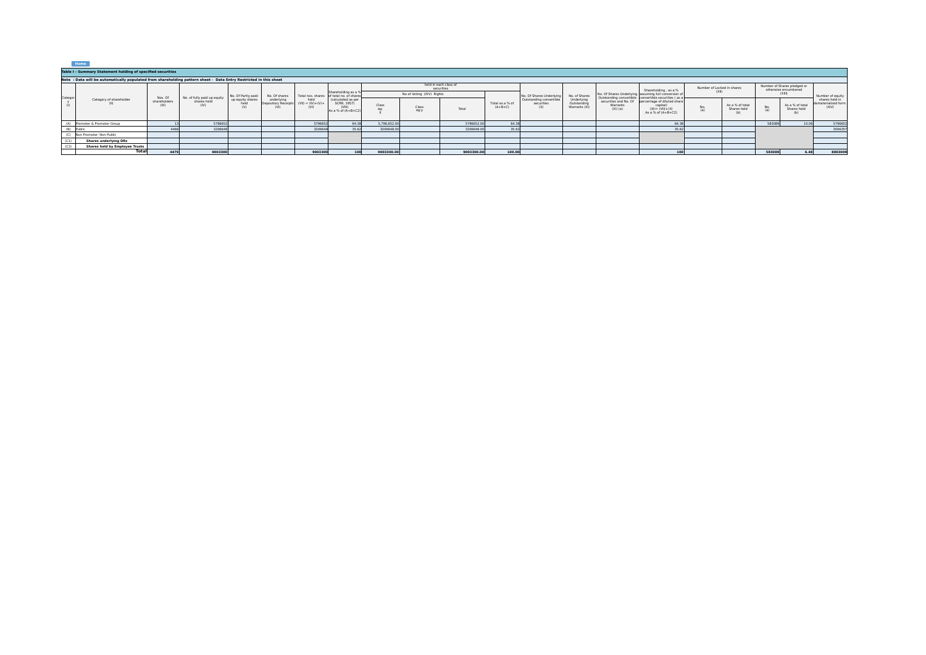<span id="page-3-0"></span>

|         | Table I - Summary Statement holding of specified securities                                                      |                                  |                                                    |                                 |                                   |                                    |                                                                                                                                        |                           |                                     |            |                              |                                              |                                            |                        |                                                                                                                  |                            |                                       |                                                     |                                       |                                       |
|---------|------------------------------------------------------------------------------------------------------------------|----------------------------------|----------------------------------------------------|---------------------------------|-----------------------------------|------------------------------------|----------------------------------------------------------------------------------------------------------------------------------------|---------------------------|-------------------------------------|------------|------------------------------|----------------------------------------------|--------------------------------------------|------------------------|------------------------------------------------------------------------------------------------------------------|----------------------------|---------------------------------------|-----------------------------------------------------|---------------------------------------|---------------------------------------|
|         | Note: Data will be automatically populated from shareholding pattern sheet - Data Entry Restricted in this sheet |                                  |                                                    |                                 |                                   |                                    |                                                                                                                                        |                           |                                     |            |                              |                                              |                                            |                        |                                                                                                                  |                            |                                       |                                                     |                                       |                                       |
| Categor |                                                                                                                  |                                  |                                                    |                                 |                                   |                                    |                                                                                                                                        |                           | held in each class of<br>securities |            |                              |                                              |                                            |                        | Shareholding . as a %                                                                                            | Number of Locked in shares |                                       | Number of Shares pledged or<br>otherwise encumbered |                                       |                                       |
|         |                                                                                                                  |                                  |                                                    | No. Of Partly paid-             | No. Of shares                     |                                    | Shareholding as a %<br>Total nos, shares of total no, of shares<br>(calculated as per<br>SCRR, 1957)<br>(VIII)<br>As a % of $(A+B+C2)$ | No of Voting (XIV) Rights |                                     |            |                              | No. Of Shares Underlyin                      | No. of Shares                              |                        | No. Of Shares Underlying assuming full conversion of                                                             |                            | (X  )                                 |                                                     |                                       | Number of equity                      |
|         | Category of shareholder                                                                                          | Nos. Of<br>shareholders<br>(III) | No. of fully paid up equity<br>shares held<br>(IV) | up equity shares<br>held<br>(V) | underlying<br>Depository Receipts | held<br>(VII) = $(W)+(V)+$<br>(VI) |                                                                                                                                        | Class                     | Class<br>eg:y                       | Total      | Total as a % of<br>$(A+B+C)$ | Outstanding convertible<br>securities<br>(X) | Underlying<br>Outstanding<br>Warrants (Xi) | Warrants<br>$(Xi)$ (a) | Outstanding convertible convertible securities (as a<br>canital)<br>$(XI) = (VII) + (X)$<br>As a % of $(A+B+C2)$ | (a)                        | As a % of total<br>Shares held<br>(b) | (a)                                                 | As a % of total<br>Shares held<br>(b) | shares held in<br>dematerialized form |
|         | (A) Promoter & Promoter Group                                                                                    |                                  | 5796652                                            |                                 |                                   | 5796652                            | 64.38                                                                                                                                  | 5,796,652.00              |                                     | 5796652.00 | 64.38                        |                                              |                                            |                        | 64.3                                                                                                             |                            |                                       | 583089                                              | 10.06                                 | 5796652                               |
|         | (B) Public                                                                                                       |                                  | 3206648                                            |                                 |                                   | 320664                             |                                                                                                                                        | 3206648.00                |                                     | 3206648.00 | 35.62                        |                                              |                                            |                        |                                                                                                                  |                            |                                       |                                                     |                                       | 3006357                               |
|         | (C) Non Promoter- Non Public                                                                                     |                                  |                                                    |                                 |                                   |                                    |                                                                                                                                        |                           |                                     |            |                              |                                              |                                            |                        |                                                                                                                  |                            |                                       |                                                     |                                       |                                       |
| (C1)    | <b>Shares underlying DRs</b>                                                                                     |                                  |                                                    |                                 |                                   |                                    |                                                                                                                                        |                           |                                     |            |                              |                                              |                                            |                        |                                                                                                                  |                            |                                       |                                                     |                                       |                                       |
| (C2)    | <b>Shares held by Employee Trusts</b>                                                                            |                                  |                                                    |                                 |                                   |                                    |                                                                                                                                        |                           |                                     |            |                              |                                              |                                            |                        |                                                                                                                  |                            |                                       |                                                     |                                       |                                       |
|         | Total                                                                                                            | 4479                             | 9003300                                            |                                 |                                   | 9003300                            | 100                                                                                                                                    | 9003300.00                |                                     | 9003300.00 | 100.00                       |                                              |                                            |                        |                                                                                                                  |                            |                                       | 583089                                              | 6.48                                  | 8803009                               |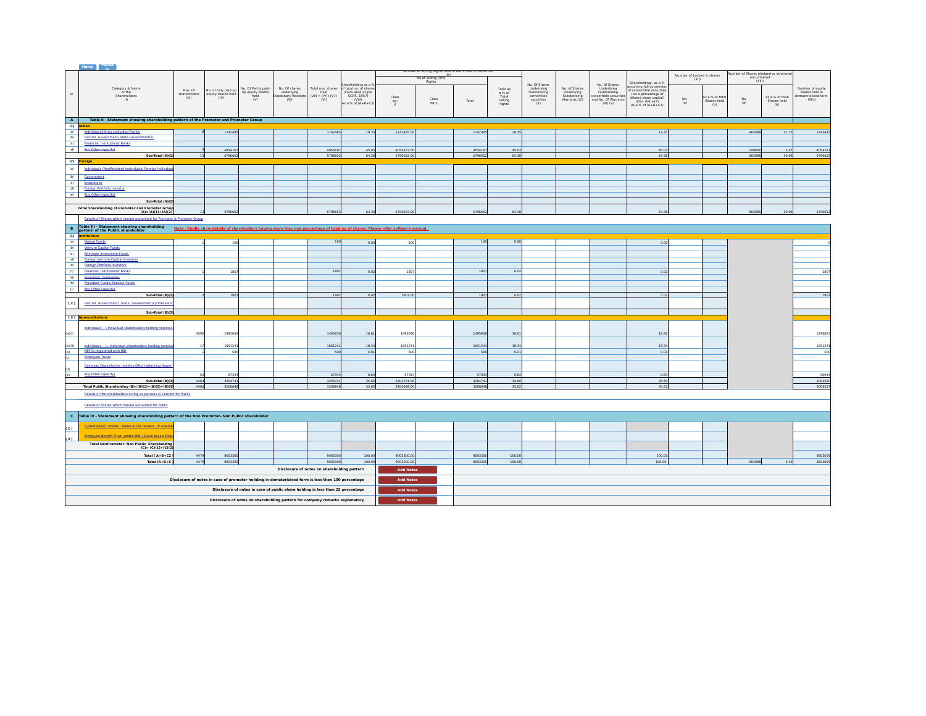<span id="page-4-0"></span>

|                                                                                                    | Home $\begin{bmatrix} \nabla \cdot \mathbf{R} \\ \mathbf{R} \cdot \mathbf{R} \\ \mathbf{R} \cdot \mathbf{R} \n\end{bmatrix}$                                                                                        |              |                            |                          |                                   |                                             |                                   |                  |                                                          |         |                 |                           |                           |                                    |                                                   |                            |                               |                                       |                                |                                       |
|----------------------------------------------------------------------------------------------------|---------------------------------------------------------------------------------------------------------------------------------------------------------------------------------------------------------------------|--------------|----------------------------|--------------------------|-----------------------------------|---------------------------------------------|-----------------------------------|------------------|----------------------------------------------------------|---------|-----------------|---------------------------|---------------------------|------------------------------------|---------------------------------------------------|----------------------------|-------------------------------|---------------------------------------|--------------------------------|---------------------------------------|
|                                                                                                    |                                                                                                                                                                                                                     |              |                            |                          |                                   |                                             |                                   |                  | Number of Voting Rights held in each class of securities |         |                 |                           |                           |                                    |                                                   | Number of Locked in shares |                               | lumber of Shares pledged or otherwise |                                |                                       |
|                                                                                                    |                                                                                                                                                                                                                     |              |                            |                          |                                   |                                             |                                   |                  | No of Voting (XIV)                                       |         |                 |                           |                           |                                    |                                                   | (X  )                      |                               | encumbered<br>(XIII)                  |                                |                                       |
|                                                                                                    |                                                                                                                                                                                                                     |              |                            |                          |                                   |                                             | hareholding as a %                |                  | Rights                                                   |         |                 | No. Of Shares             |                           | No. Of Shares                      | Shareholding, as a %                              |                            |                               |                                       |                                |                                       |
|                                                                                                    | Category & Name                                                                                                                                                                                                     | Nos. Of      | No. of fully paid up       | No. Of Partly paid-      | No. Of shares                     | Total nos. shares                           | of total no. of share:            |                  |                                                          |         | Total as        | Underlying<br>Outstanding | No. of Shares             | Underlying                         | suming full conversi<br>of convertible securities |                            |                               |                                       |                                | Number of equity                      |
| Sr.                                                                                                | of the<br>Shareholders                                                                                                                                                                                              | shareholders | equity shares held<br>(IV) | up equity shares<br>held | underlying<br>Depository Receipts | held<br>$(VII) = (IV)+(V)+$                 | (calculated as per<br>SCRR, 1957) |                  |                                                          |         | a % of<br>Total | convertible               | Underlying<br>Outstanding | Outstanding<br>nvertible securitie | as a percentage of                                |                            |                               |                                       |                                | shares held in<br>dematerialized form |
|                                                                                                    | (1)                                                                                                                                                                                                                 | (III)        |                            | (V)                      | (VI)                              | (W)                                         | (VIII)                            | Class            | Class                                                    | Total   | Voting          | securities                | Warrants (Xi)             | and No. Of Warrants                | diluted share capital)<br>$(XI) = (VII) + (X)$    | $\frac{No}{(a)}$           | As a % of tota<br>Shares held | $\frac{No}{(a)}$                      | As a % of total<br>Shares held | (XIV)                                 |
|                                                                                                    |                                                                                                                                                                                                                     |              |                            |                          |                                   |                                             | As a % of $(A+B+C2)$              | eg:<br>$x$       | eg:y                                                     |         | rights          | (X)                       |                           | $(Xi)$ $(a)$                       | As a % of $(A+B+C2)$                              |                            | (b)                           |                                       | (b)                            |                                       |
|                                                                                                    |                                                                                                                                                                                                                     |              |                            |                          |                                   |                                             |                                   |                  |                                                          |         |                 |                           |                           |                                    |                                                   |                            |                               |                                       |                                |                                       |
|                                                                                                    |                                                                                                                                                                                                                     |              |                            |                          |                                   |                                             |                                   |                  |                                                          |         |                 |                           |                           |                                    |                                                   |                            |                               |                                       |                                |                                       |
| $\overline{A}$                                                                                     | Table II - Statement showing shareholding pattern of the Promoter and Promoter Group                                                                                                                                |              |                            |                          |                                   |                                             |                                   |                  |                                                          |         |                 |                           |                           |                                    |                                                   |                            |                               |                                       |                                |                                       |
| (1)                                                                                                | ndian                                                                                                                                                                                                               |              |                            |                          |                                   |                                             |                                   |                  |                                                          |         |                 |                           |                           |                                    |                                                   |                            |                               |                                       |                                |                                       |
| (a)                                                                                                | Individuals/Hindu undivided Family                                                                                                                                                                                  |              | 1742485                    |                          |                                   | 1742485                                     | 19.35                             | 1742485.00       |                                                          | 1742485 | 19.35           |                           |                           |                                    | 19.35                                             |                            |                               | 483089                                | 27.72                          | 174248                                |
| (b)                                                                                                | Central Government/ State Government(s)                                                                                                                                                                             |              |                            |                          |                                   |                                             |                                   |                  |                                                          |         |                 |                           |                           |                                    |                                                   |                            |                               |                                       |                                |                                       |
| (c)                                                                                                | <b>Financial Institutions/ Banks</b>                                                                                                                                                                                |              |                            |                          |                                   |                                             |                                   |                  |                                                          |         |                 |                           |                           |                                    |                                                   |                            |                               |                                       |                                |                                       |
| (d)                                                                                                | Any Other (specify)                                                                                                                                                                                                 |              | 4054167                    |                          |                                   | 4054167                                     | 45.03                             | 4054167.0        |                                                          | 4054167 | 45.03           |                           |                           |                                    | 45.03                                             |                            |                               | 100000                                | 2.47                           | 405416                                |
|                                                                                                    | Sub-Total (A)(1)                                                                                                                                                                                                    |              | 579665                     |                          |                                   | 5796653                                     | 64.38                             | 5796652.00       |                                                          | 5796653 | 64.38           |                           |                           |                                    | 64.39                                             |                            |                               | 583089                                | 10.06                          | 579665                                |
|                                                                                                    | (2) <mark>Foreign</mark>                                                                                                                                                                                            |              |                            |                          |                                   |                                             |                                   |                  |                                                          |         |                 |                           |                           |                                    |                                                   |                            |                               |                                       |                                |                                       |
| (a)                                                                                                | Individuals (NonResident Individuals/ Foreign Individual                                                                                                                                                            |              |                            |                          |                                   |                                             |                                   |                  |                                                          |         |                 |                           |                           |                                    |                                                   |                            |                               |                                       |                                |                                       |
|                                                                                                    |                                                                                                                                                                                                                     |              |                            |                          |                                   |                                             |                                   |                  |                                                          |         |                 |                           |                           |                                    |                                                   |                            |                               |                                       |                                |                                       |
| (b)                                                                                                | Government                                                                                                                                                                                                          |              |                            |                          |                                   |                                             |                                   |                  |                                                          |         |                 |                           |                           |                                    |                                                   |                            |                               |                                       |                                |                                       |
| (c)                                                                                                | Institutions                                                                                                                                                                                                        |              |                            |                          |                                   |                                             |                                   |                  |                                                          |         |                 |                           |                           |                                    |                                                   |                            |                               |                                       |                                |                                       |
| (d)                                                                                                | Foreign Portfolio Investor                                                                                                                                                                                          |              |                            |                          |                                   |                                             |                                   |                  |                                                          |         |                 |                           |                           |                                    |                                                   |                            |                               |                                       |                                |                                       |
| (e)                                                                                                | Any Other (specify)                                                                                                                                                                                                 |              |                            |                          |                                   |                                             |                                   |                  |                                                          |         |                 |                           |                           |                                    |                                                   |                            |                               |                                       |                                |                                       |
|                                                                                                    | Sub-Total (A)(2)                                                                                                                                                                                                    |              |                            |                          |                                   |                                             |                                   |                  |                                                          |         |                 |                           |                           |                                    |                                                   |                            |                               |                                       |                                |                                       |
|                                                                                                    | <b>Total Shareholding of Promoter and Promoter Group</b>                                                                                                                                                            |              |                            |                          |                                   |                                             |                                   |                  |                                                          |         |                 |                           |                           |                                    |                                                   |                            |                               |                                       |                                |                                       |
|                                                                                                    | $(A)=(A)(1)+(A)(2)$                                                                                                                                                                                                 |              | 579665                     |                          |                                   | 579665                                      | 64.3                              | 5796652.0        |                                                          | 579665  | 64.1            |                           |                           |                                    | 64                                                |                            |                               | 58308                                 | 10.06                          | 579665                                |
|                                                                                                    | Details of Shares which remain unclaimed for Promoter & Promoter Group                                                                                                                                              |              |                            |                          |                                   |                                             |                                   |                  |                                                          |         |                 |                           |                           |                                    |                                                   |                            |                               |                                       |                                |                                       |
|                                                                                                    |                                                                                                                                                                                                                     |              |                            |                          |                                   |                                             |                                   |                  |                                                          |         |                 |                           |                           |                                    |                                                   |                            |                               |                                       |                                |                                       |
|                                                                                                    | B Table III - Statement showing shareholding<br>pattern of the Public shareholder<br>Note: Kindly show details of shareholders having more than one percentage of total no of shares. Please refer software manual. |              |                            |                          |                                   |                                             |                                   |                  |                                                          |         |                 |                           |                           |                                    |                                                   |                            |                               |                                       |                                |                                       |
| $\overline{(\mathbf{1})}$                                                                          | stitutions                                                                                                                                                                                                          |              |                            |                          |                                   |                                             |                                   |                  |                                                          |         |                 |                           |                           |                                    |                                                   |                            |                               |                                       |                                |                                       |
| (a)                                                                                                | Mutual Funds                                                                                                                                                                                                        |              | 100                        |                          |                                   | 100                                         | 0.00                              | 100              |                                                          | 100     | 0.00            |                           |                           |                                    | 0.00                                              |                            |                               |                                       |                                |                                       |
| (b)                                                                                                | Venture Capital Funds                                                                                                                                                                                               |              |                            |                          |                                   |                                             |                                   |                  |                                                          |         |                 |                           |                           |                                    |                                                   |                            |                               |                                       |                                |                                       |
| (c)                                                                                                | Alternate Investment Funds                                                                                                                                                                                          |              |                            |                          |                                   |                                             |                                   |                  |                                                          |         |                 |                           |                           |                                    |                                                   |                            |                               |                                       |                                |                                       |
| (d)                                                                                                | Foreign Venture Capital Investors                                                                                                                                                                                   |              |                            |                          |                                   |                                             |                                   |                  |                                                          |         |                 |                           |                           |                                    |                                                   |                            |                               |                                       |                                |                                       |
| (e)                                                                                                | <b>Foreign Portfolio Investors</b>                                                                                                                                                                                  |              |                            |                          |                                   |                                             |                                   |                  |                                                          |         |                 |                           |                           |                                    |                                                   |                            |                               |                                       |                                |                                       |
| (f)                                                                                                | <b>Financial Institutions/Banks</b>                                                                                                                                                                                 |              | 180                        |                          |                                   | 1807                                        | 0.02                              | 1807             |                                                          | 1807    | 0.02            |                           |                           |                                    | 0.02                                              |                            |                               |                                       |                                | 180                                   |
| (g)                                                                                                | <b>Insurance Companies</b>                                                                                                                                                                                          |              |                            |                          |                                   |                                             |                                   |                  |                                                          |         |                 |                           |                           |                                    |                                                   |                            |                               |                                       |                                |                                       |
| (h)                                                                                                | <b>Provident Funds/ Pension Funds</b>                                                                                                                                                                               |              |                            |                          |                                   |                                             |                                   |                  |                                                          |         |                 |                           |                           |                                    |                                                   |                            |                               |                                       |                                |                                       |
| (i)                                                                                                | Any Other (specify)                                                                                                                                                                                                 |              |                            |                          |                                   |                                             |                                   |                  |                                                          |         |                 |                           |                           |                                    |                                                   |                            |                               |                                       |                                |                                       |
|                                                                                                    | Sub-Total (B)(1)                                                                                                                                                                                                    |              | 1907                       |                          |                                   | 1907                                        | 0.02                              | 1907.00          |                                                          | 1907    | 0.02            |                           |                           |                                    | 0.02                                              |                            |                               |                                       |                                | 180                                   |
|                                                                                                    |                                                                                                                                                                                                                     |              |                            |                          |                                   |                                             |                                   |                  |                                                          |         |                 |                           |                           |                                    |                                                   |                            |                               |                                       |                                |                                       |
| (2)<br>Central Government/ State Government(s)/ President                                          |                                                                                                                                                                                                                     |              |                            |                          |                                   |                                             |                                   |                  |                                                          |         |                 |                           |                           |                                    |                                                   |                            |                               |                                       |                                |                                       |
| Sub-Total (B)(2)                                                                                   |                                                                                                                                                                                                                     |              |                            |                          |                                   |                                             |                                   |                  |                                                          |         |                 |                           |                           |                                    |                                                   |                            |                               |                                       |                                |                                       |
|                                                                                                    | (3) Non-institutions                                                                                                                                                                                                |              |                            |                          |                                   |                                             |                                   |                  |                                                          |         |                 |                           |                           |                                    |                                                   |                            |                               |                                       |                                |                                       |
|                                                                                                    |                                                                                                                                                                                                                     |              |                            |                          |                                   |                                             |                                   |                  |                                                          |         |                 |                           |                           |                                    |                                                   |                            |                               |                                       |                                |                                       |
|                                                                                                    | Individuals - i.Individual shareholders holding nomina                                                                                                                                                              | 439          | 1495656                    |                          |                                   | 1495656                                     | 16.61                             | 149565           |                                                          | 1495654 | 16.61           |                           |                           |                                    | 16.63                                             |                            |                               |                                       |                                | 129686                                |
| (a(i))                                                                                             |                                                                                                                                                                                                                     |              |                            |                          |                                   |                                             |                                   |                  |                                                          |         |                 |                           |                           |                                    |                                                   |                            |                               |                                       |                                |                                       |
|                                                                                                    |                                                                                                                                                                                                                     |              | 1651241                    |                          |                                   | 1651241                                     | 18.34                             | 1651241          |                                                          | 1651241 | 18.34           |                           |                           |                                    | 18.34                                             |                            |                               |                                       |                                | 165124                                |
| (a(ii))                                                                                            | Individuals - ii. Individual shareholders holding nomin<br>NBFCs registered with RBI                                                                                                                                |              |                            |                          |                                   | soc                                         | 0.01                              |                  |                                                          | 500     |                 |                           |                           |                                    |                                                   |                            |                               |                                       |                                |                                       |
| (b)<br>(c)                                                                                         | <b>Employee Trusts</b>                                                                                                                                                                                              |              | 500                        |                          |                                   |                                             |                                   | 500              |                                                          |         | 0.01            |                           |                           |                                    | 0.01                                              |                            |                               |                                       |                                | -50                                   |
|                                                                                                    |                                                                                                                                                                                                                     |              |                            |                          |                                   |                                             |                                   |                  |                                                          |         |                 |                           |                           |                                    |                                                   |                            |                               |                                       |                                |                                       |
| (d)                                                                                                | Overseas Depositories (holding DRs) (balancing figure)                                                                                                                                                              |              |                            |                          |                                   |                                             |                                   |                  |                                                          |         |                 |                           |                           |                                    |                                                   |                            |                               |                                       |                                |                                       |
|                                                                                                    | Any Other (specify)                                                                                                                                                                                                 |              | 57344                      |                          |                                   | 57344                                       | 0.64                              | 57344            |                                                          | 57344   | 0.64            |                           |                           |                                    | 0.64                                              |                            |                               |                                       |                                | 55944                                 |
|                                                                                                    | Sub-Total (B)(3)                                                                                                                                                                                                    | 4464         | 3204741                    |                          |                                   | 3204741                                     | 35.60                             | 3204741.00       |                                                          | 3204741 | 35.60           |                           |                           |                                    | 35.60                                             |                            |                               |                                       |                                | 3004556                               |
|                                                                                                    | Total Public Shareholding (B)=(B)(1)+(B)(2)+(B)(3)                                                                                                                                                                  | 4466         | 3206648                    |                          |                                   | 3206648                                     | 35.62                             | 3206648.00       |                                                          | 3206648 | 35.62           |                           |                           |                                    | 35.62                                             |                            |                               |                                       |                                | 300635                                |
|                                                                                                    | Details of the shareholders acting as persons in Concert for Public                                                                                                                                                 |              |                            |                          |                                   |                                             |                                   |                  |                                                          |         |                 |                           |                           |                                    |                                                   |                            |                               |                                       |                                |                                       |
|                                                                                                    |                                                                                                                                                                                                                     |              |                            |                          |                                   |                                             |                                   |                  |                                                          |         |                 |                           |                           |                                    |                                                   |                            |                               |                                       |                                |                                       |
|                                                                                                    | Details of Shares which remain unclaimed for Public                                                                                                                                                                 |              |                            |                          |                                   |                                             |                                   |                  |                                                          |         |                 |                           |                           |                                    |                                                   |                            |                               |                                       |                                |                                       |
|                                                                                                    |                                                                                                                                                                                                                     |              |                            |                          |                                   |                                             |                                   |                  |                                                          |         |                 |                           |                           |                                    |                                                   |                            |                               |                                       |                                |                                       |
|                                                                                                    | C Table IV - Statement showing shareholding pattern of the Non Promoter- Non Public shareholder                                                                                                                     |              |                            |                          |                                   |                                             |                                   |                  |                                                          |         |                 |                           |                           |                                    |                                                   |                            |                               |                                       |                                |                                       |
|                                                                                                    |                                                                                                                                                                                                                     |              |                            |                          |                                   |                                             |                                   |                  |                                                          |         |                 |                           |                           |                                    |                                                   |                            |                               |                                       |                                |                                       |
| (1)                                                                                                | Custodian/DR Holder - Name of DR Holders (If Availa)                                                                                                                                                                |              |                            |                          |                                   |                                             |                                   |                  |                                                          |         |                 |                           |                           |                                    |                                                   |                            |                               |                                       |                                |                                       |
|                                                                                                    | Employee Benefit Trust (under SEBI (Share based Emp)                                                                                                                                                                |              |                            |                          |                                   |                                             |                                   |                  |                                                          |         |                 |                           |                           |                                    |                                                   |                            |                               |                                       |                                |                                       |
| (2)                                                                                                |                                                                                                                                                                                                                     |              |                            |                          |                                   |                                             |                                   |                  |                                                          |         |                 |                           |                           |                                    |                                                   |                            |                               |                                       |                                |                                       |
|                                                                                                    | <b>Total NonPromoter- Non Public Shareholding</b><br>$(C) = (C)(1)+(C)(2)$                                                                                                                                          |              |                            |                          |                                   |                                             |                                   |                  |                                                          |         |                 |                           |                           |                                    |                                                   |                            |                               |                                       |                                |                                       |
|                                                                                                    |                                                                                                                                                                                                                     |              |                            |                          |                                   |                                             |                                   |                  |                                                          |         |                 |                           |                           |                                    |                                                   |                            |                               |                                       |                                |                                       |
|                                                                                                    | Total (A+B+C2                                                                                                                                                                                                       | 4479         | 9003300                    |                          |                                   | 9003300                                     | 100.00                            | 9003300.0        |                                                          | 9003300 | 100.0           |                           |                           |                                    | 100.00                                            |                            |                               |                                       |                                | 880300                                |
|                                                                                                    | Total $(A+B+C)$                                                                                                                                                                                                     | 4479         | 9003300                    |                          |                                   | 9003300                                     | 100.00                            | 9003300.00       |                                                          | 9003300 | 100.00          |                           |                           |                                    | 100.00                                            |                            |                               | 583089                                | 6.48                           | 880300                                |
|                                                                                                    |                                                                                                                                                                                                                     |              |                            |                          |                                   | Disclosure of notes on shareholding pattern |                                   | <b>Add Notes</b> |                                                          |         |                 |                           |                           |                                    |                                                   |                            |                               |                                       |                                |                                       |
|                                                                                                    |                                                                                                                                                                                                                     |              |                            |                          |                                   |                                             |                                   | <b>Add Notes</b> |                                                          |         |                 |                           |                           |                                    |                                                   |                            |                               |                                       |                                |                                       |
| Disclosure of notes in case of promoter holiding in dematerialsed form is less than 100 percentage |                                                                                                                                                                                                                     |              |                            |                          |                                   |                                             |                                   |                  |                                                          |         |                 |                           |                           |                                    |                                                   |                            |                               |                                       |                                |                                       |
| Disclosure of notes in case of public share holding is less than 25 percentage                     |                                                                                                                                                                                                                     |              |                            |                          |                                   |                                             |                                   | <b>Add Notes</b> |                                                          |         |                 |                           |                           |                                    |                                                   |                            |                               |                                       |                                |                                       |
|                                                                                                    |                                                                                                                                                                                                                     |              |                            |                          |                                   |                                             |                                   |                  |                                                          |         |                 |                           |                           |                                    |                                                   |                            |                               |                                       |                                |                                       |
|                                                                                                    |                                                                                                                                                                                                                     |              |                            |                          |                                   |                                             |                                   | <b>Add Notes</b> |                                                          |         |                 |                           |                           |                                    |                                                   |                            |                               |                                       |                                |                                       |
| Disclosure of notes on shareholding pattern for company remarks explanatory                        |                                                                                                                                                                                                                     |              |                            |                          |                                   |                                             |                                   |                  |                                                          |         |                 |                           |                           |                                    |                                                   |                            |                               |                                       |                                |                                       |